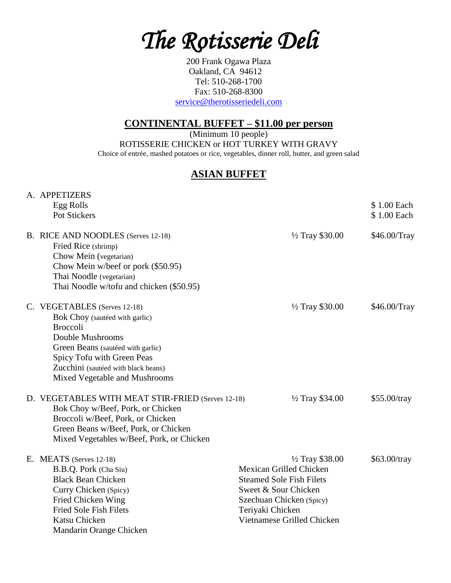*The Rotisserie Deli* 

200 Frank Ogawa Plaza Oakland, CA 94612 Tel: 510-268-1700 Fax: 510-268-8300 [service@therotisseriedeli.com](mailto:service@therotisseriedeli.com)

## **CONTINENTAL BUFFET – \$11.00 per person**

(Minimum 10 people) ROTISSERIE CHICKEN or HOT TURKEY WITH GRAVY Choice of entrée, mashed potatoes or rice, vegetables, dinner roll, butter, and green salad

#### **ASIAN BUFFET**

|  | A. APPETIZERS                                     |                                 |                |
|--|---------------------------------------------------|---------------------------------|----------------|
|  | Egg Rolls                                         |                                 | \$1.00 Each    |
|  | Pot Stickers                                      |                                 | \$1.00 Each    |
|  | B. RICE AND NOODLES (Serves 12-18)                | $\frac{1}{2}$ Tray \$30.00      | \$46.00/Tray   |
|  | Fried Rice (shrimp)                               |                                 |                |
|  | Chow Mein (vegetarian)                            |                                 |                |
|  | Chow Mein w/beef or pork (\$50.95)                |                                 |                |
|  | Thai Noodle (vegetarian)                          |                                 |                |
|  | Thai Noodle w/tofu and chicken (\$50.95)          |                                 |                |
|  | C. VEGETABLES (Serves 12-18)                      | $\frac{1}{2}$ Tray \$30.00      | \$46.00/Tray   |
|  | Bok Choy (sautéed with garlic)                    |                                 |                |
|  | <b>Broccoli</b>                                   |                                 |                |
|  | Double Mushrooms                                  |                                 |                |
|  | Green Beans (sautéed with garlic)                 |                                 |                |
|  | Spicy Tofu with Green Peas                        |                                 |                |
|  | Zucchini (sautéed with black beans)               |                                 |                |
|  | Mixed Vegetable and Mushrooms                     |                                 |                |
|  | D. VEGETABLES WITH MEAT STIR-FRIED (Serves 12-18) | 1/2 Tray \$34.00                | $$55.00/$ tray |
|  | Bok Choy w/Beef, Pork, or Chicken                 |                                 |                |
|  | Broccoli w/Beef, Pork, or Chicken                 |                                 |                |
|  | Green Beans w/Beef, Pork, or Chicken              |                                 |                |
|  | Mixed Vegetables w/Beef, Pork, or Chicken         |                                 |                |
|  | E. MEATS (Serves 12-18)                           | $\frac{1}{2}$ Tray \$38.00      | \$63.00/tray   |
|  | B.B.Q. Pork (Cha Siu)                             | Mexican Grilled Chicken         |                |
|  | <b>Black Bean Chicken</b>                         | <b>Steamed Sole Fish Filets</b> |                |
|  | Curry Chicken (Spicy)                             | Sweet & Sour Chicken            |                |
|  | Fried Chicken Wing                                | Szechuan Chicken (Spicy)        |                |
|  | <b>Fried Sole Fish Filets</b>                     | Teriyaki Chicken                |                |
|  | Katsu Chicken                                     | Vietnamese Grilled Chicken      |                |
|  | Mandarin Orange Chicken                           |                                 |                |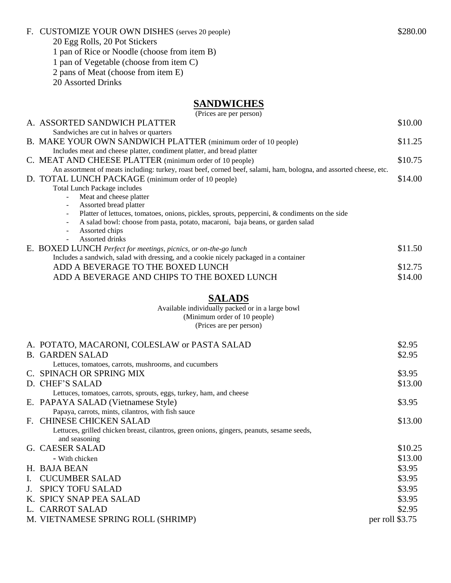#### F. CUSTOMIZE YOUR OWN DISHES (serves 20 people) \$280.00

20 Egg Rolls, 20 Pot Stickers

1 pan of Rice or Noodle (choose from item B)

1 pan of Vegetable (choose from item C)

2 pans of Meat (choose from item E)

20 Assorted Drinks

## **SANDWICHES**

|    | (Prices are per person)                                                                                                                                                   |                 |
|----|---------------------------------------------------------------------------------------------------------------------------------------------------------------------------|-----------------|
|    | A. ASSORTED SANDWICH PLATTER                                                                                                                                              | \$10.00         |
|    | Sandwiches are cut in halves or quarters                                                                                                                                  |                 |
|    | B. MAKE YOUR OWN SANDWICH PLATTER (minimum order of 10 people)                                                                                                            | \$11.25         |
|    | Includes meat and cheese platter, condiment platter, and bread platter                                                                                                    |                 |
|    | C. MEAT AND CHEESE PLATTER (minimum order of 10 people)                                                                                                                   | \$10.75         |
|    | An assortment of meats including: turkey, roast beef, corned beef, salami, ham, bologna, and assorted cheese, etc.<br>D. TOTAL LUNCH PACKAGE (minimum order of 10 people) | \$14.00         |
|    | <b>Total Lunch Package includes</b>                                                                                                                                       |                 |
|    | Meat and cheese platter<br>$\overline{\phantom{a}}$                                                                                                                       |                 |
|    | Assorted bread platter                                                                                                                                                    |                 |
|    | Platter of lettuces, tomatoes, onions, pickles, sprouts, peppercini, & condiments on the side                                                                             |                 |
|    | A salad bowl: choose from pasta, potato, macaroni, baja beans, or garden salad<br>$\overline{\phantom{a}}$                                                                |                 |
|    | Assorted chips<br>$\blacksquare$<br>Assorted drinks<br>$\overline{\phantom{a}}$                                                                                           |                 |
|    | E. BOXED LUNCH Perfect for meetings, picnics, or on-the-go lunch                                                                                                          | \$11.50         |
|    | Includes a sandwich, salad with dressing, and a cookie nicely packaged in a container                                                                                     |                 |
|    | ADD A BEVERAGE TO THE BOXED LUNCH                                                                                                                                         | \$12.75         |
|    | ADD A BEVERAGE AND CHIPS TO THE BOXED LUNCH                                                                                                                               | \$14.00         |
|    |                                                                                                                                                                           |                 |
|    | <b>SALADS</b>                                                                                                                                                             |                 |
|    | Available individually packed or in a large bowl                                                                                                                          |                 |
|    | (Minimum order of 10 people)                                                                                                                                              |                 |
|    | (Prices are per person)                                                                                                                                                   |                 |
|    | A. POTATO, MACARONI, COLESLAW or PASTA SALAD                                                                                                                              | \$2.95          |
|    | <b>B. GARDEN SALAD</b>                                                                                                                                                    | \$2.95          |
|    | Lettuces, tomatoes, carrots, mushrooms, and cucumbers                                                                                                                     |                 |
|    | C. SPINACH OR SPRING MIX                                                                                                                                                  | \$3.95          |
|    | D. CHEF'S SALAD                                                                                                                                                           | \$13.00         |
|    | Lettuces, tomatoes, carrots, sprouts, eggs, turkey, ham, and cheese                                                                                                       |                 |
|    | E. PAPAYA SALAD (Vietnamese Style)                                                                                                                                        | \$3.95          |
|    | Papaya, carrots, mints, cilantros, with fish sauce                                                                                                                        |                 |
|    | F. CHINESE CHICKEN SALAD                                                                                                                                                  | \$13.00         |
|    | Lettuces, grilled chicken breast, cilantros, green onions, gingers, peanuts, sesame seeds,                                                                                |                 |
|    | and seasoning                                                                                                                                                             |                 |
|    | G. CAESER SALAD                                                                                                                                                           | \$10.25         |
|    | - With chicken                                                                                                                                                            | \$13.00         |
|    | H. BAJA BEAN                                                                                                                                                              | \$3.95          |
| Ι. | <b>CUCUMBER SALAD</b>                                                                                                                                                     | \$3.95          |
|    | J. SPICY TOFU SALAD                                                                                                                                                       | \$3.95          |
|    | K. SPICY SNAP PEA SALAD                                                                                                                                                   | \$3.95          |
|    | L. CARROT SALAD                                                                                                                                                           | \$2.95          |
|    | M. VIETNAMESE SPRING ROLL (SHRIMP)                                                                                                                                        | per roll \$3.75 |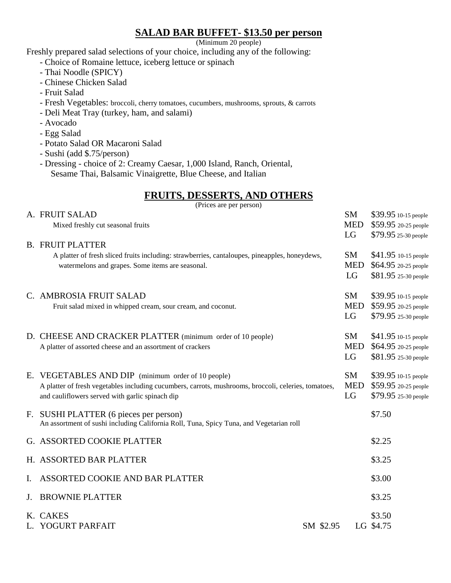# **SALAD BAR BUFFET- \$13.50 per person**

(Minimum 20 people)

Freshly prepared salad selections of your choice, including any of the following:

- Choice of Romaine lettuce, iceberg lettuce or spinach
- Thai Noodle (SPICY)
- Chinese Chicken Salad
- Fruit Salad
- Fresh Vegetables: broccoli, cherry tomatoes, cucumbers, mushrooms, sprouts, & carrots
- Deli Meat Tray (turkey, ham, and salami)
- Avocado
- Egg Salad
- Potato Salad OR Macaroni Salad
- Sushi (add \$.75/person)
- Dressing choice of 2: Creamy Caesar, 1,000 Island, Ranch, Oriental, Sesame Thai, Balsamic Vinaigrette, Blue Cheese, and Italian

# **FRUITS, DESSERTS, AND OTHERS**

|             | (Prices are per person)                                                                                                                                                                                       |           |                               |                                                                      |  |  |
|-------------|---------------------------------------------------------------------------------------------------------------------------------------------------------------------------------------------------------------|-----------|-------------------------------|----------------------------------------------------------------------|--|--|
|             | A. FRUIT SALAD<br>Mixed freshly cut seasonal fruits                                                                                                                                                           |           | <b>SM</b><br><b>MED</b>       | \$39.95 10-15 people<br>\$59.95 20-25 people                         |  |  |
|             |                                                                                                                                                                                                               |           | LG                            | \$79.95 25-30 people                                                 |  |  |
|             | <b>B. FRUIT PLATTER</b><br>A platter of fresh sliced fruits including: strawberries, cantaloupes, pineapples, honeydews,<br>watermelons and grapes. Some items are seasonal.                                  |           | SM<br><b>MED</b><br>LG        | \$41.95 10-15 people<br>\$64.95 20-25 people<br>\$81.95 25-30 people |  |  |
|             | C. AMBROSIA FRUIT SALAD<br>Fruit salad mixed in whipped cream, sour cream, and coconut.                                                                                                                       |           | <b>SM</b><br><b>MED</b><br>LG | \$39.95 10-15 people<br>\$59.95 20-25 people<br>\$79.95 25-30 people |  |  |
|             | D. CHEESE AND CRACKER PLATTER (minimum order of 10 people)<br>A platter of assorted cheese and an assortment of crackers                                                                                      |           | SM<br><b>MED</b><br>LG        | \$41.95 10-15 people<br>\$64.95 20-25 people<br>\$81.95 25-30 people |  |  |
|             | E. VEGETABLES AND DIP (minimum order of 10 people)<br>A platter of fresh vegetables including cucumbers, carrots, mushrooms, broccoli, celeries, tomatoes,<br>and cauliflowers served with garlic spinach dip |           | <b>SM</b><br><b>MED</b><br>LG | \$39.95 10-15 people<br>\$59.95 20-25 people<br>\$79.95 25-30 people |  |  |
|             | F. SUSHI PLATTER (6 pieces per person)<br>An assortment of sushi including California Roll, Tuna, Spicy Tuna, and Vegetarian roll                                                                             |           |                               | \$7.50                                                               |  |  |
|             | G. ASSORTED COOKIE PLATTER                                                                                                                                                                                    |           |                               | \$2.25                                                               |  |  |
|             | H. ASSORTED BAR PLATTER                                                                                                                                                                                       |           |                               | \$3.25                                                               |  |  |
| Ι.          | ASSORTED COOKIE AND BAR PLATTER                                                                                                                                                                               |           |                               | \$3.00                                                               |  |  |
| $J_{\cdot}$ | <b>BROWNIE PLATTER</b>                                                                                                                                                                                        |           |                               | \$3.25                                                               |  |  |
|             | K. CAKES<br>L. YOGURT PARFAIT                                                                                                                                                                                 | SM \$2.95 |                               | \$3.50<br>LG \$4.75                                                  |  |  |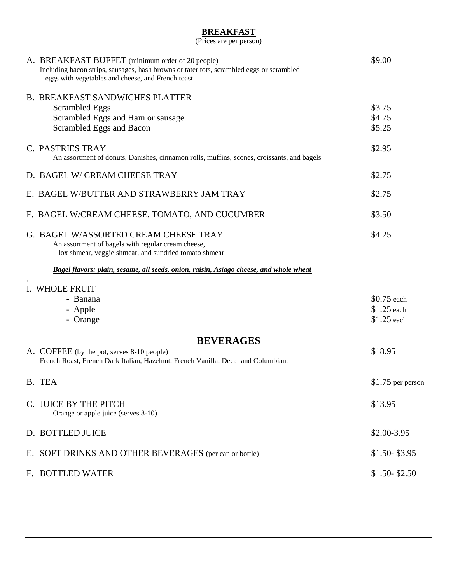#### **BREAKFAST**

(Prices are per person)

| A. BREAKFAST BUFFET (minimum order of 20 people)<br>Including bacon strips, sausages, hash browns or tater tots, scrambled eggs or scrambled<br>eggs with vegetables and cheese, and French toast | \$9.00                                     |
|---------------------------------------------------------------------------------------------------------------------------------------------------------------------------------------------------|--------------------------------------------|
| <b>B. BREAKFAST SANDWICHES PLATTER</b><br><b>Scrambled Eggs</b><br>Scrambled Eggs and Ham or sausage<br>Scrambled Eggs and Bacon                                                                  | \$3.75<br>\$4.75<br>\$5.25                 |
| C. PASTRIES TRAY<br>An assortment of donuts, Danishes, cinnamon rolls, muffins, scones, croissants, and bagels                                                                                    | \$2.95                                     |
| D. BAGEL W/ CREAM CHEESE TRAY                                                                                                                                                                     | \$2.75                                     |
| E. BAGEL W/BUTTER AND STRAWBERRY JAM TRAY                                                                                                                                                         | \$2.75                                     |
| F. BAGEL W/CREAM CHEESE, TOMATO, AND CUCUMBER                                                                                                                                                     | \$3.50                                     |
| G. BAGEL W/ASSORTED CREAM CHEESE TRAY<br>An assortment of bagels with regular cream cheese,<br>lox shmear, veggie shmear, and sundried tomato shmear                                              | \$4.25                                     |
| Bagel flavors: plain, sesame, all seeds, onion, raisin, Asiago cheese, and whole wheat                                                                                                            |                                            |
| I. WHOLE FRUIT<br>- Banana<br>- Apple<br>- Orange                                                                                                                                                 | \$0.75 each<br>\$1.25 each<br>$$1.25$ each |
| <b>BEVERAGES</b><br>A. COFFEE (by the pot, serves 8-10 people)<br>French Roast, French Dark Italian, Hazelnut, French Vanilla, Decaf and Columbian.                                               | \$18.95                                    |
| B. TEA                                                                                                                                                                                            | \$1.75 per person                          |
| C. JUICE BY THE PITCH<br>Orange or apple juice (serves 8-10)                                                                                                                                      | \$13.95                                    |
| D. BOTTLED JUICE                                                                                                                                                                                  | \$2.00-3.95                                |
| E. SOFT DRINKS AND OTHER BEVERAGES (per can or bottle)                                                                                                                                            | $$1.50 - $3.95$                            |
| F. BOTTLED WATER                                                                                                                                                                                  | $$1.50 - $2.50$                            |